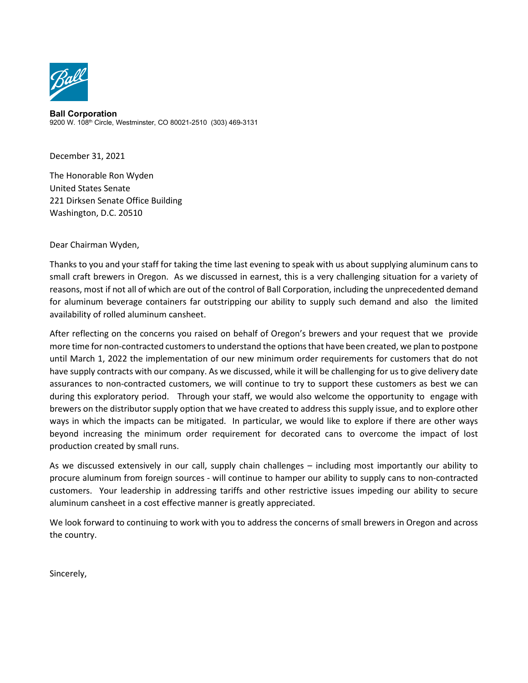

**Ball Corporation** 9200 W. 108th Circle, Westminster, CO 80021-2510 (303) 469-3131

December 31, 2021

The Honorable Ron Wyden United States Senate 221 Dirksen Senate Office Building Washington, D.C. 20510

Dear Chairman Wyden,

Thanks to you and your staff for taking the time last evening to speak with us about supplying aluminum cans to small craft brewers in Oregon. As we discussed in earnest, this is a very challenging situation for a variety of reasons, most if not all of which are out of the control of Ball Corporation, including the unprecedented demand for aluminum beverage containers far outstripping our ability to supply such demand and also the limited availability of rolled aluminum cansheet.

After reflecting on the concerns you raised on behalf of Oregon's brewers and your request that we provide more time for non-contracted customers to understand the options that have been created, we plan to postpone until March 1, 2022 the implementation of our new minimum order requirements for customers that do not have supply contracts with our company. As we discussed, while it will be challenging for us to give delivery date assurances to non-contracted customers, we will continue to try to support these customers as best we can during this exploratory period. Through your staff, we would also welcome the opportunity to engage with brewers on the distributor supply option that we have created to address this supply issue, and to explore other ways in which the impacts can be mitigated. In particular, we would like to explore if there are other ways beyond increasing the minimum order requirement for decorated cans to overcome the impact of lost production created by small runs.

As we discussed extensively in our call, supply chain challenges – including most importantly our ability to procure aluminum from foreign sources - will continue to hamper our ability to supply cans to non-contracted customers. Your leadership in addressing tariffs and other restrictive issues impeding our ability to secure aluminum cansheet in a cost effective manner is greatly appreciated.

We look forward to continuing to work with you to address the concerns of small brewers in Oregon and across the country.

Sincerely,